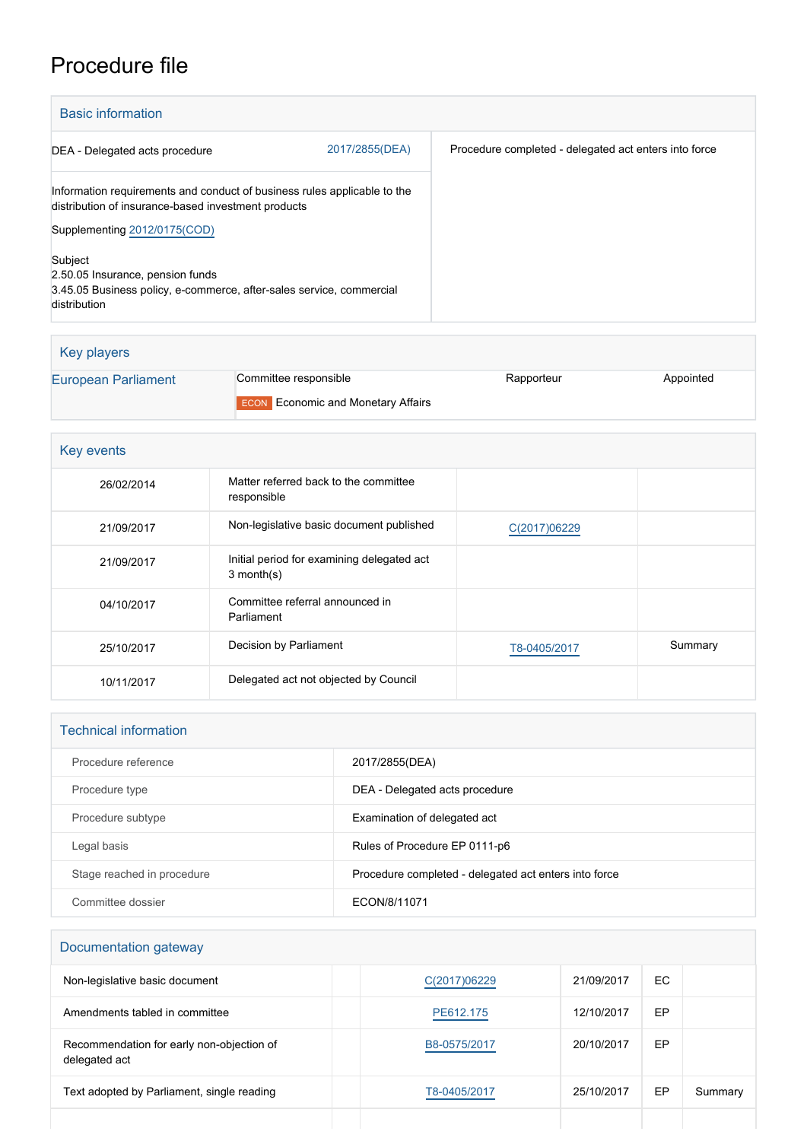## Procedure file

| <b>Basic information</b>                                                                                                                                        |                |                                                       |  |  |
|-----------------------------------------------------------------------------------------------------------------------------------------------------------------|----------------|-------------------------------------------------------|--|--|
| DEA - Delegated acts procedure                                                                                                                                  | 2017/2855(DEA) | Procedure completed - delegated act enters into force |  |  |
| Information requirements and conduct of business rules applicable to the<br>distribution of insurance-based investment products<br>Supplementing 2012/0175(COD) |                |                                                       |  |  |
| Subject<br>2.50.05 Insurance, pension funds<br>3.45.05 Business policy, e-commerce, after-sales service, commercial<br>distribution                             |                |                                                       |  |  |

| Key players                |                                           |            |           |
|----------------------------|-------------------------------------------|------------|-----------|
| <b>European Parliament</b> | Committee responsible                     | Rapporteur | Appointed |
|                            | <b>ECON</b> Economic and Monetary Affairs |            |           |

| Key events |                                                            |              |         |
|------------|------------------------------------------------------------|--------------|---------|
| 26/02/2014 | Matter referred back to the committee<br>responsible       |              |         |
| 21/09/2017 | Non-legislative basic document published                   | C(2017)06229 |         |
| 21/09/2017 | Initial period for examining delegated act<br>$3$ month(s) |              |         |
| 04/10/2017 | Committee referral announced in<br>Parliament              |              |         |
| 25/10/2017 | Decision by Parliament                                     | T8-0405/2017 | Summary |
| 10/11/2017 | Delegated act not objected by Council                      |              |         |

| <b>Technical information</b> |                                                       |  |  |
|------------------------------|-------------------------------------------------------|--|--|
| Procedure reference          | 2017/2855(DEA)                                        |  |  |
| Procedure type               | DEA - Delegated acts procedure                        |  |  |
| Procedure subtype            | Examination of delegated act                          |  |  |
| Legal basis                  | Rules of Procedure EP 0111-p6                         |  |  |
| Stage reached in procedure   | Procedure completed - delegated act enters into force |  |  |
| Committee dossier            | FCON/8/11071                                          |  |  |

## Documentation gateway

| Non-legislative basic document                             | C(2017)06229 | 21/09/2017 | EC. |         |
|------------------------------------------------------------|--------------|------------|-----|---------|
| Amendments tabled in committee                             | PE612.175    | 12/10/2017 | EP  |         |
| Recommendation for early non-objection of<br>delegated act | B8-0575/2017 | 20/10/2017 | EP  |         |
| Text adopted by Parliament, single reading                 | T8-0405/2017 | 25/10/2017 | EP  | Summary |
|                                                            |              |            |     |         |